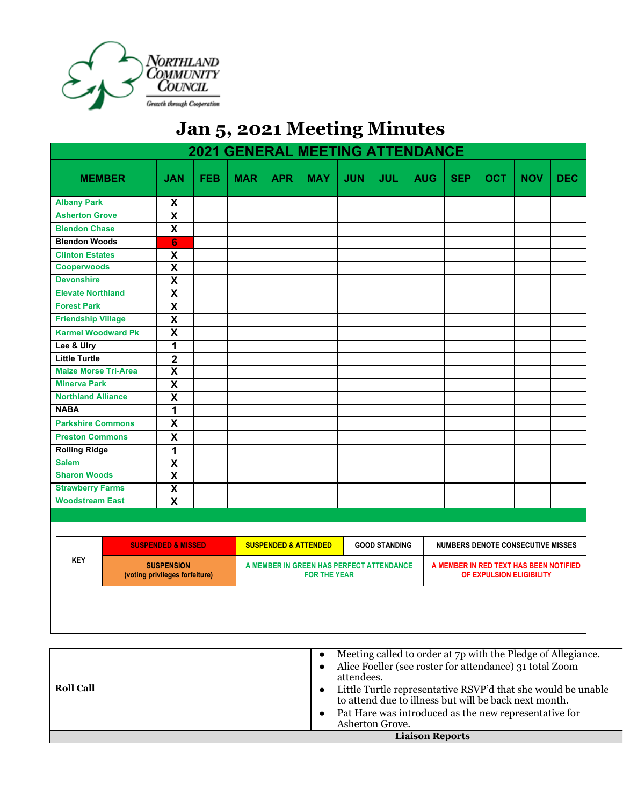

## **Jan 5, 2021 Meeting Minutes**

| <b>2021 GENERAL MEETING ATTENDANCE</b>                            |                           |                               |                                                                 |                                 |            |            |                      |                                                                    |                                          |            |            |            |
|-------------------------------------------------------------------|---------------------------|-------------------------------|-----------------------------------------------------------------|---------------------------------|------------|------------|----------------------|--------------------------------------------------------------------|------------------------------------------|------------|------------|------------|
| <b>MEMBER</b>                                                     | <b>JAN</b>                | <b>FEB</b>                    | <b>MAR</b>                                                      | <b>APR</b>                      | <b>MAY</b> | <b>JUN</b> | <b>JUL</b>           | <b>AUG</b>                                                         | <b>SEP</b>                               | <b>OCT</b> | <b>NOV</b> | <b>DEC</b> |
| <b>Albany Park</b>                                                | X                         |                               |                                                                 |                                 |            |            |                      |                                                                    |                                          |            |            |            |
| <b>Asherton Grove</b>                                             | $\overline{\mathbf{x}}$   |                               |                                                                 |                                 |            |            |                      |                                                                    |                                          |            |            |            |
| <b>Blendon Chase</b>                                              | $\boldsymbol{\mathsf{x}}$ |                               |                                                                 |                                 |            |            |                      |                                                                    |                                          |            |            |            |
| <b>Blendon Woods</b>                                              | $6\phantom{a}$            |                               |                                                                 |                                 |            |            |                      |                                                                    |                                          |            |            |            |
| <b>Clinton Estates</b>                                            | $\pmb{\mathsf{X}}$        |                               |                                                                 |                                 |            |            |                      |                                                                    |                                          |            |            |            |
| <b>Cooperwoods</b>                                                | $\overline{\mathbf{x}}$   |                               |                                                                 |                                 |            |            |                      |                                                                    |                                          |            |            |            |
| <b>Devonshire</b>                                                 | $\overline{\mathbf{X}}$   |                               |                                                                 |                                 |            |            |                      |                                                                    |                                          |            |            |            |
| <b>Elevate Northland</b>                                          | $\overline{\mathbf{X}}$   |                               |                                                                 |                                 |            |            |                      |                                                                    |                                          |            |            |            |
| <b>Forest Park</b>                                                | $\overline{\mathbf{x}}$   |                               |                                                                 |                                 |            |            |                      |                                                                    |                                          |            |            |            |
| <b>Friendship Village</b>                                         | $\overline{\mathbf{x}}$   |                               |                                                                 |                                 |            |            |                      |                                                                    |                                          |            |            |            |
| <b>Karmel Woodward Pk</b>                                         | $\overline{\mathbf{x}}$   |                               |                                                                 |                                 |            |            |                      |                                                                    |                                          |            |            |            |
| Lee & Ulry                                                        | 1                         |                               |                                                                 |                                 |            |            |                      |                                                                    |                                          |            |            |            |
| <b>Little Turtle</b>                                              | $\overline{2}$            |                               |                                                                 |                                 |            |            |                      |                                                                    |                                          |            |            |            |
| <b>Maize Morse Tri-Area</b>                                       | $\overline{\mathbf{x}}$   |                               |                                                                 |                                 |            |            |                      |                                                                    |                                          |            |            |            |
| <b>Minerva Park</b>                                               | $\overline{\mathbf{X}}$   |                               |                                                                 |                                 |            |            |                      |                                                                    |                                          |            |            |            |
| <b>Northland Alliance</b>                                         | $\overline{\mathbf{x}}$   |                               |                                                                 |                                 |            |            |                      |                                                                    |                                          |            |            |            |
| <b>NABA</b>                                                       | 1                         |                               |                                                                 |                                 |            |            |                      |                                                                    |                                          |            |            |            |
| <b>Parkshire Commons</b>                                          | $\mathsf{x}$              |                               |                                                                 |                                 |            |            |                      |                                                                    |                                          |            |            |            |
| <b>Preston Commons</b>                                            | $\boldsymbol{\mathsf{x}}$ |                               |                                                                 |                                 |            |            |                      |                                                                    |                                          |            |            |            |
| <b>Rolling Ridge</b>                                              | $\overline{1}$            |                               |                                                                 |                                 |            |            |                      |                                                                    |                                          |            |            |            |
| <b>Salem</b>                                                      | $\boldsymbol{\mathsf{X}}$ |                               |                                                                 |                                 |            |            |                      |                                                                    |                                          |            |            |            |
| <b>Sharon Woods</b>                                               | $\overline{\mathbf{x}}$   |                               |                                                                 |                                 |            |            |                      |                                                                    |                                          |            |            |            |
| <b>Strawberry Farms</b>                                           | $\overline{\mathbf{x}}$   |                               |                                                                 |                                 |            |            |                      |                                                                    |                                          |            |            |            |
| <b>Woodstream East</b>                                            | $\mathbf x$               |                               |                                                                 |                                 |            |            |                      |                                                                    |                                          |            |            |            |
|                                                                   |                           |                               |                                                                 |                                 |            |            |                      |                                                                    |                                          |            |            |            |
|                                                                   |                           |                               |                                                                 |                                 |            |            |                      |                                                                    |                                          |            |            |            |
|                                                                   |                           | <b>SUSPENDED &amp; MISSED</b> |                                                                 | <b>SUSPENDED &amp; ATTENDED</b> |            |            | <b>GOOD STANDING</b> |                                                                    | <b>NUMBERS DENOTE CONSECUTIVE MISSES</b> |            |            |            |
| <b>KEY</b><br><b>SUSPENSION</b><br>(voting privileges forfeiture) |                           |                               | A MEMBER IN GREEN HAS PERFECT ATTENDANCE<br><b>FOR THE YEAR</b> |                                 |            |            |                      | A MEMBER IN RED TEXT HAS BEEN NOTIFIED<br>OF EXPULSION ELIGIBILITY |                                          |            |            |            |
|                                                                   |                           |                               |                                                                 |                                 |            |            |                      |                                                                    |                                          |            |            |            |

|                  | <b>Liaison Reports</b>                                                                                                |
|------------------|-----------------------------------------------------------------------------------------------------------------------|
|                  | Pat Hare was introduced as the new representative for<br>$\bullet$<br>Asherton Grove.                                 |
| <b>Roll Call</b> | Little Turtle representative RSVP'd that she would be unable<br>to attend due to illness but will be back next month. |
|                  | attendees.                                                                                                            |
|                  | Alice Foeller (see roster for attendance) 31 total Zoom                                                               |
|                  | Meeting called to order at 7p with the Pledge of Allegiance.<br>$\bullet$                                             |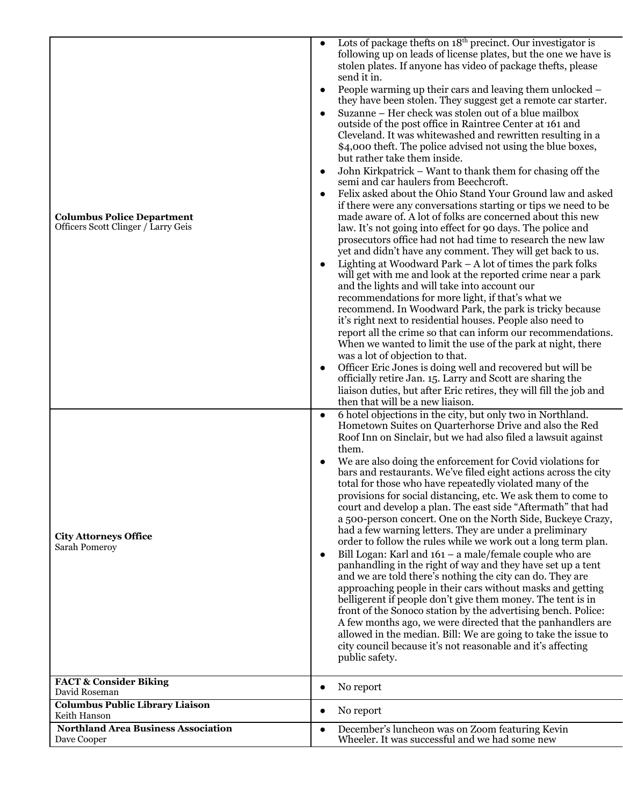| <b>Columbus Police Department</b><br>Officers Scott Clinger / Larry Geis | Lots of package thefts on 18 <sup>th</sup> precinct. Our investigator is<br>following up on leads of license plates, but the one we have is<br>stolen plates. If anyone has video of package thefts, please<br>send it in.<br>People warming up their cars and leaving them unlocked –<br>they have been stolen. They suggest get a remote car starter.<br>Suzanne - Her check was stolen out of a blue mailbox<br>outside of the post office in Raintree Center at 161 and<br>Cleveland. It was whitewashed and rewritten resulting in a<br>\$4,000 theft. The police advised not using the blue boxes,<br>but rather take them inside.<br>John Kirkpatrick - Want to thank them for chasing off the<br>semi and car haulers from Beechcroft.<br>Felix asked about the Ohio Stand Your Ground law and asked<br>if there were any conversations starting or tips we need to be<br>made aware of. A lot of folks are concerned about this new<br>law. It's not going into effect for 90 days. The police and<br>prosecutors office had not had time to research the new law<br>yet and didn't have any comment. They will get back to us.<br>Lighting at Woodward Park $-$ A lot of times the park folks<br>$\bullet$<br>will get with me and look at the reported crime near a park<br>and the lights and will take into account our<br>recommendations for more light, if that's what we<br>recommend. In Woodward Park, the park is tricky because<br>it's right next to residential houses. People also need to<br>report all the crime so that can inform our recommendations.<br>When we wanted to limit the use of the park at night, there<br>was a lot of objection to that.<br>Officer Eric Jones is doing well and recovered but will be<br>$\bullet$<br>officially retire Jan. 15. Larry and Scott are sharing the<br>liaison duties, but after Eric retires, they will fill the job and<br>then that will be a new liaison. |
|--------------------------------------------------------------------------|-----------------------------------------------------------------------------------------------------------------------------------------------------------------------------------------------------------------------------------------------------------------------------------------------------------------------------------------------------------------------------------------------------------------------------------------------------------------------------------------------------------------------------------------------------------------------------------------------------------------------------------------------------------------------------------------------------------------------------------------------------------------------------------------------------------------------------------------------------------------------------------------------------------------------------------------------------------------------------------------------------------------------------------------------------------------------------------------------------------------------------------------------------------------------------------------------------------------------------------------------------------------------------------------------------------------------------------------------------------------------------------------------------------------------------------------------------------------------------------------------------------------------------------------------------------------------------------------------------------------------------------------------------------------------------------------------------------------------------------------------------------------------------------------------------------------------------------------------------------------------------------------------------------------------------------------|
| <b>City Attorneys Office</b><br>Sarah Pomeroy                            | 6 hotel objections in the city, but only two in Northland.<br>Hometown Suites on Quarterhorse Drive and also the Red<br>Roof Inn on Sinclair, but we had also filed a lawsuit against<br>them.<br>We are also doing the enforcement for Covid violations for<br>bars and restaurants. We've filed eight actions across the city<br>total for those who have repeatedly violated many of the<br>provisions for social distancing, etc. We ask them to come to<br>court and develop a plan. The east side "Aftermath" that had<br>a 500-person concert. One on the North Side, Buckeye Crazy,<br>had a few warning letters. They are under a preliminary<br>order to follow the rules while we work out a long term plan.<br>Bill Logan: Karl and $161 - a$ male/female couple who are<br>panhandling in the right of way and they have set up a tent<br>and we are told there's nothing the city can do. They are<br>approaching people in their cars without masks and getting<br>belligerent if people don't give them money. The tent is in<br>front of the Sonoco station by the advertising bench. Police:<br>A few months ago, we were directed that the panhandlers are<br>allowed in the median. Bill: We are going to take the issue to<br>city council because it's not reasonable and it's affecting<br>public safety.                                                                                                                                                                                                                                                                                                                                                                                                                                                                                                                                                                                                        |
| <b>FACT &amp; Consider Biking</b><br>David Roseman                       | No report<br>$\bullet$                                                                                                                                                                                                                                                                                                                                                                                                                                                                                                                                                                                                                                                                                                                                                                                                                                                                                                                                                                                                                                                                                                                                                                                                                                                                                                                                                                                                                                                                                                                                                                                                                                                                                                                                                                                                                                                                                                                  |
| <b>Columbus Public Library Liaison</b><br>Keith Hanson                   | No report<br>$\bullet$                                                                                                                                                                                                                                                                                                                                                                                                                                                                                                                                                                                                                                                                                                                                                                                                                                                                                                                                                                                                                                                                                                                                                                                                                                                                                                                                                                                                                                                                                                                                                                                                                                                                                                                                                                                                                                                                                                                  |
| <b>Northland Area Business Association</b><br>Dave Cooper                | December's luncheon was on Zoom featuring Kevin<br>$\bullet$<br>Wheeler. It was successful and we had some new                                                                                                                                                                                                                                                                                                                                                                                                                                                                                                                                                                                                                                                                                                                                                                                                                                                                                                                                                                                                                                                                                                                                                                                                                                                                                                                                                                                                                                                                                                                                                                                                                                                                                                                                                                                                                          |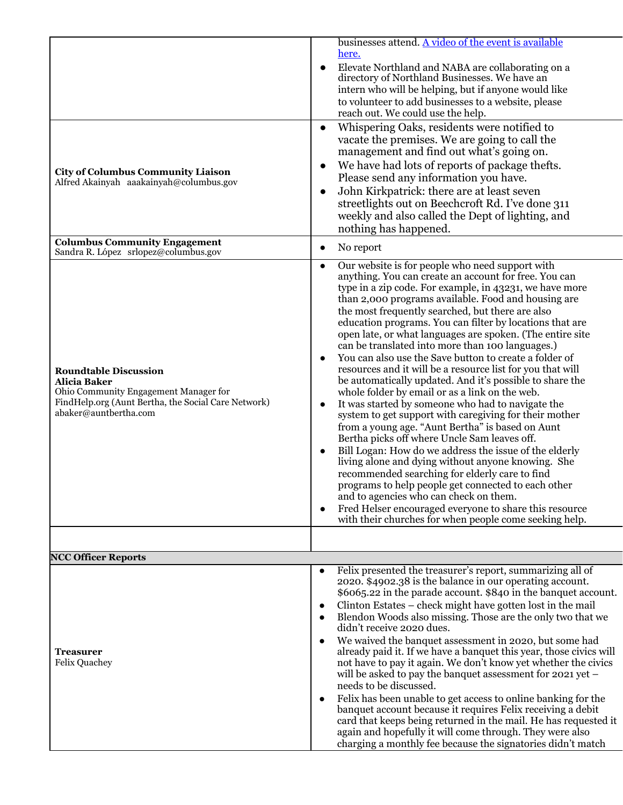| <b>City of Columbus Community Liaison</b><br>Alfred Akainyah aaakainyah@columbus.gov                                                                                         | businesses attend. A video of the event is available<br>here.<br>Elevate Northland and NABA are collaborating on a<br>directory of Northland Businesses. We have an<br>intern who will be helping, but if anyone would like<br>to volunteer to add businesses to a website, please<br>reach out. We could use the help.<br>Whispering Oaks, residents were notified to<br>vacate the premises. We are going to call the<br>management and find out what's going on.<br>We have had lots of reports of package thefts.<br>Please send any information you have.<br>John Kirkpatrick: there are at least seven<br>$\bullet$<br>streetlights out on Beechcroft Rd. I've done 311<br>weekly and also called the Dept of lighting, and<br>nothing has happened.                                                                                                                                                                                                                                                                                                                                                                                                                                                                                                                                                                                         |
|------------------------------------------------------------------------------------------------------------------------------------------------------------------------------|----------------------------------------------------------------------------------------------------------------------------------------------------------------------------------------------------------------------------------------------------------------------------------------------------------------------------------------------------------------------------------------------------------------------------------------------------------------------------------------------------------------------------------------------------------------------------------------------------------------------------------------------------------------------------------------------------------------------------------------------------------------------------------------------------------------------------------------------------------------------------------------------------------------------------------------------------------------------------------------------------------------------------------------------------------------------------------------------------------------------------------------------------------------------------------------------------------------------------------------------------------------------------------------------------------------------------------------------------|
| <b>Columbus Community Engagement</b><br>Sandra R. López srlopez@columbus.gov                                                                                                 | No report<br>$\bullet$                                                                                                                                                                                                                                                                                                                                                                                                                                                                                                                                                                                                                                                                                                                                                                                                                                                                                                                                                                                                                                                                                                                                                                                                                                                                                                                             |
| <b>Roundtable Discussion</b><br><b>Alicia Baker</b><br>Ohio Community Engagement Manager for<br>FindHelp.org (Aunt Bertha, the Social Care Network)<br>abaker@auntbertha.com | Our website is for people who need support with<br>$\bullet$<br>anything. You can create an account for free. You can<br>type in a zip code. For example, in 43231, we have more<br>than 2,000 programs available. Food and housing are<br>the most frequently searched, but there are also<br>education programs. You can filter by locations that are<br>open late, or what languages are spoken. (The entire site<br>can be translated into more than 100 languages.)<br>You can also use the Save button to create a folder of<br>$\bullet$<br>resources and it will be a resource list for you that will<br>be automatically updated. And it's possible to share the<br>whole folder by email or as a link on the web.<br>It was started by someone who had to navigate the<br>$\bullet$<br>system to get support with caregiving for their mother<br>from a young age. "Aunt Bertha" is based on Aunt<br>Bertha picks off where Uncle Sam leaves off.<br>Bill Logan: How do we address the issue of the elderly<br>living alone and dying without anyone knowing. She<br>recommended searching for elderly care to find<br>programs to help people get connected to each other<br>and to agencies who can check on them.<br>Fred Helser encouraged everyone to share this resource<br>with their churches for when people come seeking help. |
|                                                                                                                                                                              |                                                                                                                                                                                                                                                                                                                                                                                                                                                                                                                                                                                                                                                                                                                                                                                                                                                                                                                                                                                                                                                                                                                                                                                                                                                                                                                                                    |
| <b>NCC Officer Reports</b>                                                                                                                                                   |                                                                                                                                                                                                                                                                                                                                                                                                                                                                                                                                                                                                                                                                                                                                                                                                                                                                                                                                                                                                                                                                                                                                                                                                                                                                                                                                                    |
| Treasurer<br><b>Felix Quachey</b>                                                                                                                                            | Felix presented the treasurer's report, summarizing all of<br>$\bullet$<br>2020. \$4902.38 is the balance in our operating account.<br>\$6065.22 in the parade account. \$840 in the banquet account.<br>Clinton Estates - check might have gotten lost in the mail<br>$\bullet$<br>Blendon Woods also missing. Those are the only two that we<br>$\bullet$<br>didn't receive 2020 dues.<br>We waived the banquet assessment in 2020, but some had<br>$\bullet$<br>already paid it. If we have a banquet this year, those civics will<br>not have to pay it again. We don't know yet whether the civics<br>will be asked to pay the banquet assessment for 2021 yet -<br>needs to be discussed.<br>Felix has been unable to get access to online banking for the<br>$\bullet$<br>banquet account because it requires Felix receiving a debit<br>card that keeps being returned in the mail. He has requested it<br>again and hopefully it will come through. They were also<br>charging a monthly fee because the signatories didn't match                                                                                                                                                                                                                                                                                                         |